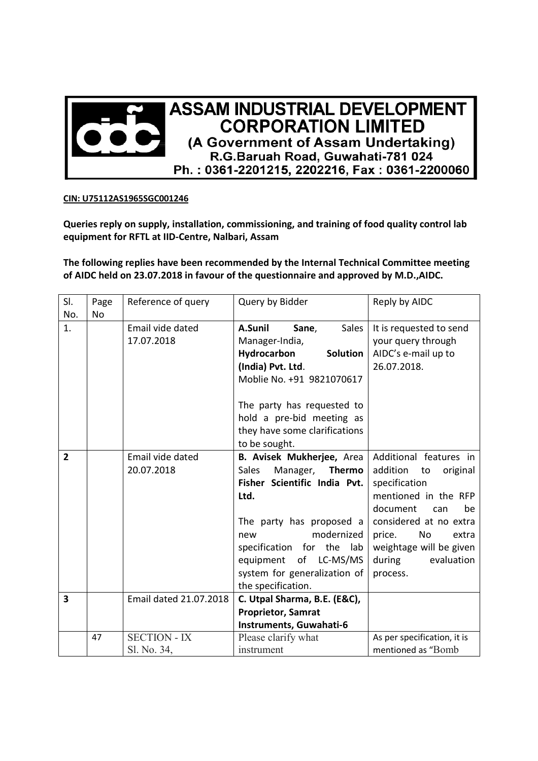

## **CIN: U75112AS1965SGC001246**

**Queries reply on supply, installation, commissioning, and training of food quality control lab equipment for RFTL at IID-Centre, Nalbari, Assam** 

**The following replies have been recommended by the Internal Technical Committee meeting of AIDC held on 23.07.2018 in favour of the questionnaire and approved by M.D.,AIDC.** 

| SI.                     | Page      | Reference of query     | Query by Bidder                           | Reply by AIDC               |
|-------------------------|-----------|------------------------|-------------------------------------------|-----------------------------|
| No.                     | <b>No</b> |                        |                                           |                             |
| 1.                      |           | Email vide dated       | A.Sunil<br>Sales<br>Sane,                 | It is requested to send     |
|                         |           | 17.07.2018             | Manager-India,                            | your query through          |
|                         |           |                        | Hydrocarbon<br>Solution                   | AIDC's e-mail up to         |
|                         |           |                        | (India) Pvt. Ltd.                         | 26.07.2018.                 |
|                         |           |                        | Moblie No. +91 9821070617                 |                             |
|                         |           |                        | The party has requested to                |                             |
|                         |           |                        | hold a pre-bid meeting as                 |                             |
|                         |           |                        | they have some clarifications             |                             |
|                         |           |                        | to be sought.                             |                             |
| $\overline{2}$          |           | Email vide dated       | B. Avisek Mukherjee, Area                 | Additional features in      |
|                         |           | 20.07.2018             | <b>Sales</b><br>Manager,<br><b>Thermo</b> | addition<br>original<br>to  |
|                         |           |                        | Fisher Scientific India Pvt.              | specification               |
|                         |           |                        | Ltd.                                      | mentioned in the RFP        |
|                         |           |                        |                                           | document<br>be<br>can       |
|                         |           |                        | The party has proposed a                  | considered at no extra      |
|                         |           |                        | modernized<br>new                         | No<br>price.<br>extra       |
|                         |           |                        | specification for the<br>lab              | weightage will be given     |
|                         |           |                        | equipment of LC-MS/MS                     | during<br>evaluation        |
|                         |           |                        | system for generalization of              | process.                    |
|                         |           |                        | the specification.                        |                             |
| $\overline{\mathbf{3}}$ |           | Email dated 21.07.2018 | C. Utpal Sharma, B.E. (E&C),              |                             |
|                         |           |                        | <b>Proprietor, Samrat</b>                 |                             |
|                         |           |                        | Instruments, Guwahati-6                   |                             |
|                         | 47        | <b>SECTION - IX</b>    | Please clarify what                       | As per specification, it is |
|                         |           | Sl. No. 34,            | instrument                                | mentioned as "Bomb          |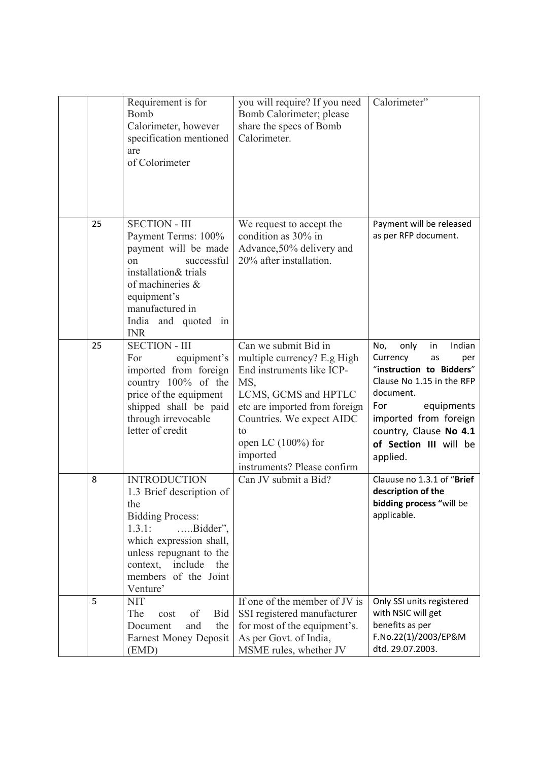|    | Requirement is for<br>Bomb<br>Calorimeter, however<br>specification mentioned<br>are<br>of Colorimeter                                                                                                                                  | you will require? If you need<br>Bomb Calorimeter; please<br>share the specs of Bomb<br>Calorimeter.                                                                                                                                                    | Calorimeter"                                                                                                                                                                                                                             |
|----|-----------------------------------------------------------------------------------------------------------------------------------------------------------------------------------------------------------------------------------------|---------------------------------------------------------------------------------------------------------------------------------------------------------------------------------------------------------------------------------------------------------|------------------------------------------------------------------------------------------------------------------------------------------------------------------------------------------------------------------------------------------|
| 25 | <b>SECTION - III</b><br>Payment Terms: 100%<br>payment will be made<br>successful<br>on<br>installation& trials<br>of machineries &<br>equipment's<br>manufactured in<br>India and quoted in<br><b>INR</b>                              | We request to accept the<br>condition as 30% in<br>Advance, 50% delivery and<br>20% after installation.                                                                                                                                                 | Payment will be released<br>as per RFP document.                                                                                                                                                                                         |
| 25 | <b>SECTION - III</b><br>For<br>equipment's<br>imported from foreign<br>country 100% of the<br>price of the equipment<br>shipped shall be paid<br>through irrevocable<br>letter of credit                                                | Can we submit Bid in<br>multiple currency? E.g High<br>End instruments like ICP-<br>MS,<br>LCMS, GCMS and HPTLC<br>etc are imported from foreign<br>Countries. We expect AIDC<br>to<br>open LC $(100\%)$ for<br>imported<br>instruments? Please confirm | Indian<br>No,<br>only<br>in<br>Currency<br>as<br>per<br>"instruction to Bidders"<br>Clause No 1.15 in the RFP<br>document.<br>equipments<br>For<br>imported from foreign<br>country, Clause No 4.1<br>of Section III will be<br>applied. |
| 8  | <b>INTRODUCTION</b><br>1.3 Brief description of<br>the<br><b>Bidding Process:</b><br>1.3.1:<br>$\dots$ Bidder",<br>which expression shall,<br>unless repugnant to the<br>context,<br>include<br>the<br>members of the Joint<br>Venture' | Can JV submit a Bid?                                                                                                                                                                                                                                    | Clauuse no 1.3.1 of "Brief<br>description of the<br>bidding process "will be<br>applicable.                                                                                                                                              |
| 5  | <b>NIT</b><br>The<br>Bid<br>of<br>cost<br>and<br>the<br>Document<br><b>Earnest Money Deposit</b><br>(EMD)                                                                                                                               | If one of the member of JV is<br>SSI registered manufacturer<br>for most of the equipment's.<br>As per Govt. of India,<br>MSME rules, whether JV                                                                                                        | Only SSI units registered<br>with NSIC will get<br>benefits as per<br>F.No.22(1)/2003/EP&M<br>dtd. 29.07.2003.                                                                                                                           |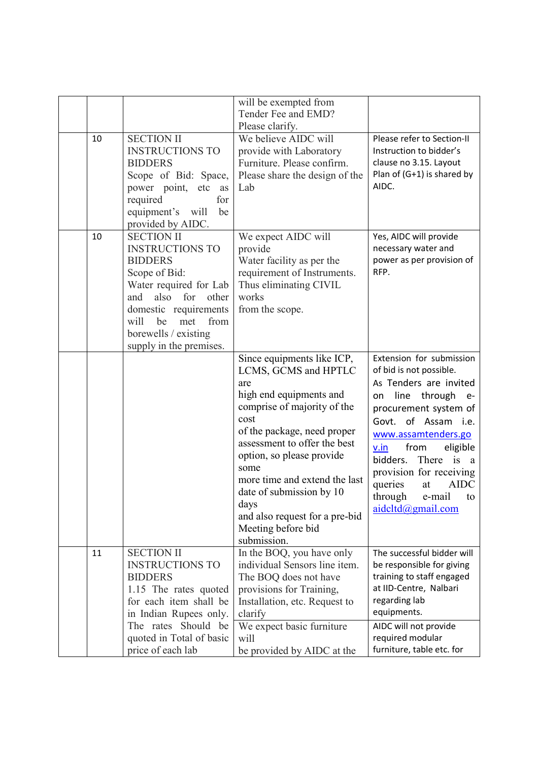|    |                                                                                                                                                                                                                                                  | will be exempted from<br>Tender Fee and EMD?<br>Please clarify.                                                                                                                                                                                                                                                                                                             |                                                                                                                                                                                                                                                                                                                                                                    |
|----|--------------------------------------------------------------------------------------------------------------------------------------------------------------------------------------------------------------------------------------------------|-----------------------------------------------------------------------------------------------------------------------------------------------------------------------------------------------------------------------------------------------------------------------------------------------------------------------------------------------------------------------------|--------------------------------------------------------------------------------------------------------------------------------------------------------------------------------------------------------------------------------------------------------------------------------------------------------------------------------------------------------------------|
| 10 | <b>SECTION II</b><br><b>INSTRUCTIONS TO</b><br><b>BIDDERS</b><br>Scope of Bid: Space,<br>power point, etc<br>as<br>required<br>for<br>equipment's<br>will<br>be<br>provided by AIDC.                                                             | We believe AIDC will<br>provide with Laboratory<br>Furniture. Please confirm.<br>Please share the design of the<br>Lab                                                                                                                                                                                                                                                      | Please refer to Section-II<br>Instruction to bidder's<br>clause no 3.15. Layout<br>Plan of (G+1) is shared by<br>AIDC.                                                                                                                                                                                                                                             |
| 10 | <b>SECTION II</b><br><b>INSTRUCTIONS TO</b><br><b>BIDDERS</b><br>Scope of Bid:<br>Water required for Lab<br>also<br>for<br>and<br>other<br>domestic requirements<br>will<br>be<br>met<br>from<br>borewells / existing<br>supply in the premises. | We expect AIDC will<br>provide<br>Water facility as per the<br>requirement of Instruments.<br>Thus eliminating CIVIL<br>works<br>from the scope.                                                                                                                                                                                                                            | Yes, AIDC will provide<br>necessary water and<br>power as per provision of<br>RFP.                                                                                                                                                                                                                                                                                 |
|    |                                                                                                                                                                                                                                                  | Since equipments like ICP,<br>LCMS, GCMS and HPTLC<br>are<br>high end equipments and<br>comprise of majority of the<br>cost<br>of the package, need proper<br>assessment to offer the best<br>option, so please provide<br>some<br>more time and extend the last<br>date of submission by 10<br>days<br>and also request for a pre-bid<br>Meeting before bid<br>submission. | Extension for submission<br>of bid is not possible.<br>As Tenders are invited<br>line<br>through<br>on<br>$e-$<br>procurement system of<br>Govt. of Assam i.e.<br>www.assamtenders.go<br>from<br>eligible<br>v.in<br>There<br>bidders.<br>i <sub>S</sub><br>a<br>provision for receiving<br><b>AIDC</b><br>queries<br>at<br>through e-mail to<br>aidcltd@gmail.com |
| 11 | <b>SECTION II</b><br><b>INSTRUCTIONS TO</b><br><b>BIDDERS</b><br>1.15 The rates quoted<br>for each item shall be<br>in Indian Rupees only.<br>The rates Should be<br>quoted in Total of basic<br>price of each lab                               | In the BOQ, you have only<br>individual Sensors line item.<br>The BOQ does not have<br>provisions for Training,<br>Installation, etc. Request to<br>clarify<br>We expect basic furniture<br>will<br>be provided by AIDC at the                                                                                                                                              | The successful bidder will<br>be responsible for giving<br>training to staff engaged<br>at IID-Centre, Nalbari<br>regarding lab<br>equipments.<br>AIDC will not provide<br>required modular<br>furniture, table etc. for                                                                                                                                           |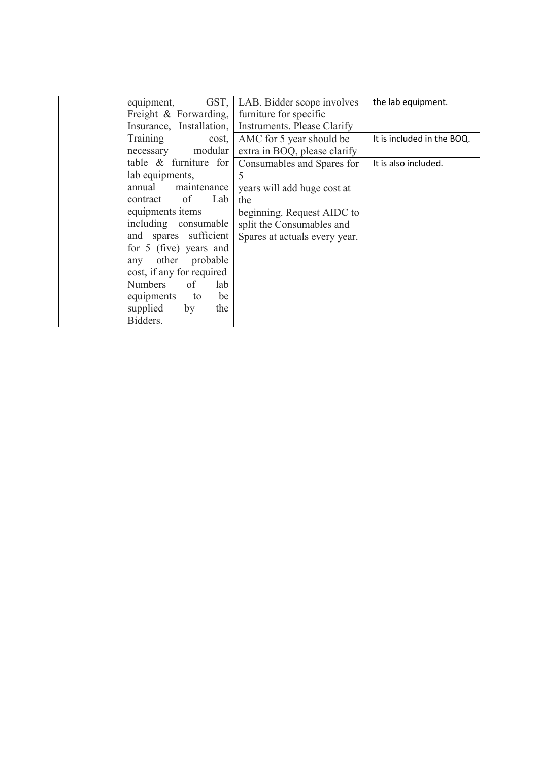| GST.<br>equipment,        | LAB. Bidder scope involves    | the lab equipment.         |
|---------------------------|-------------------------------|----------------------------|
| Freight & Forwarding,     | furniture for specific        |                            |
| Insurance, Installation,  | Instruments. Please Clarify   |                            |
| Training<br>cost,         | AMC for 5 year should be      | It is included in the BOQ. |
| necessary modular         | extra in BOQ, please clarify  |                            |
| table $\&$ furniture for  | Consumables and Spares for    | It is also included.       |
| lab equipments,           | 5                             |                            |
| annual maintenance        | years will add huge cost at   |                            |
| contract of<br>Lab        | the                           |                            |
| equipments items          | beginning. Request AIDC to    |                            |
| including consumable      | split the Consumables and     |                            |
| and spares sufficient     | Spares at actuals every year. |                            |
| for 5 (five) years and    |                               |                            |
| any other probable        |                               |                            |
| cost, if any for required |                               |                            |
| of<br>Numbers<br>lab      |                               |                            |
| be<br>equipments to       |                               |                            |
| supplied<br>the<br>by     |                               |                            |
| Bidders.                  |                               |                            |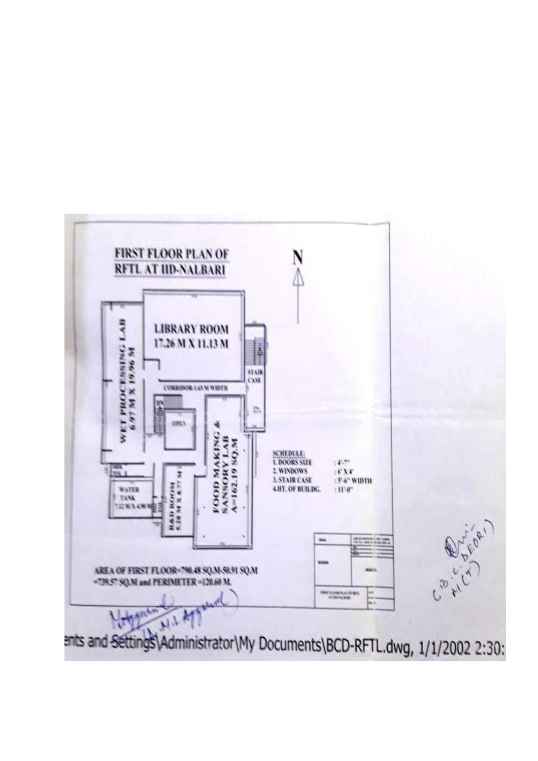